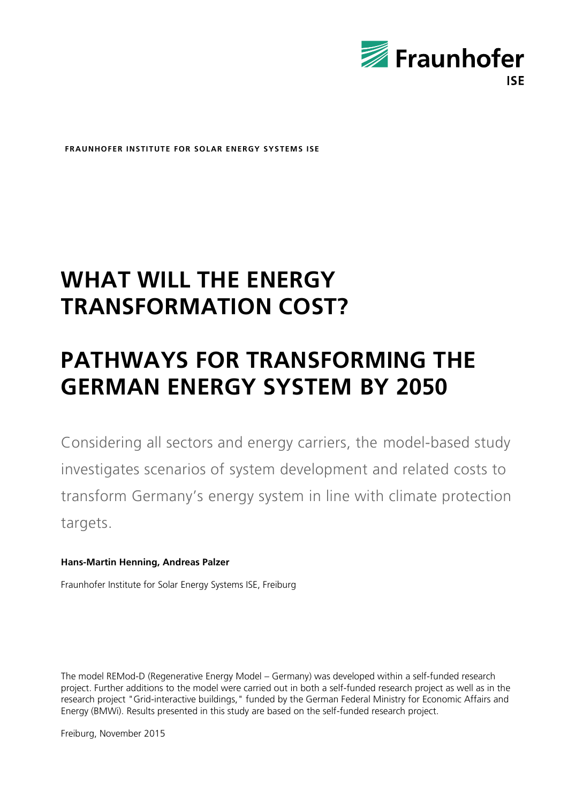

**FRAUNHOFER INSTITUTE FOR SOLAR ENERGY SYSTEMS ISE**

## **WHAT WILL THE ENERGY TRANSFORMATION COST?**

## **PATHWAYS FOR TRANSFORMING THE GERMAN ENERGY SYSTEM BY 2050**

Considering all sectors and energy carriers, the model-based study investigates scenarios of system development and related costs to transform Germany's energy system in line with climate protection targets.

## **Hans-Martin Henning, Andreas Palzer**

Fraunhofer Institute for Solar Energy Systems ISE, Freiburg

The model REMod-D (Regenerative Energy Model – Germany) was developed within a self-funded research project. Further additions to the model were carried out in both a self-funded research project as well as in the research project "Grid-interactive buildings," funded by the German Federal Ministry for Economic Affairs and Energy (BMWi). Results presented in this study are based on the self-funded research project.

Freiburg, November 2015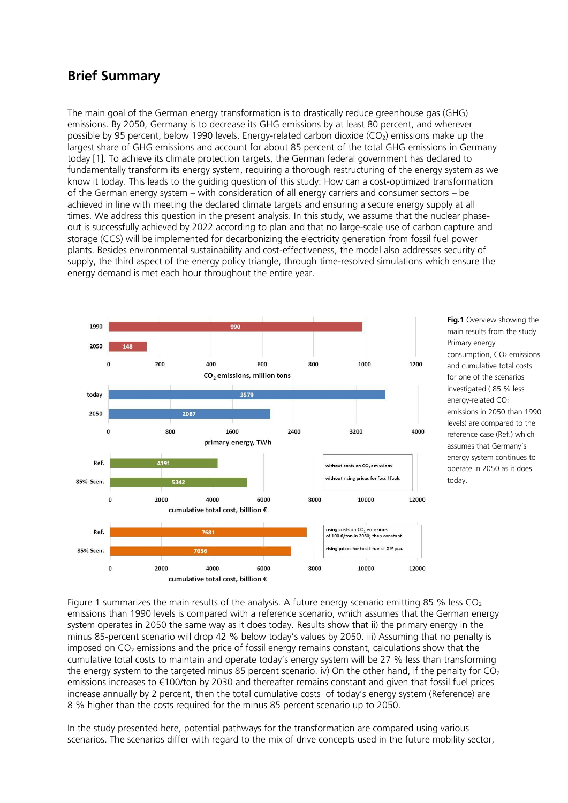## **Brief Summary**

The main goal of the German energy transformation is to drastically reduce greenhouse gas (GHG) emissions. By 2050, Germany is to decrease its GHG emissions by at least 80 percent, and wherever possible by 95 percent, below 1990 levels. Energy-related carbon dioxide ( $CO<sub>2</sub>$ ) emissions make up the largest share of GHG emissions and account for about 85 percent of the total GHG emissions in Germany today [1]. To achieve its climate protection targets, the German federal government has declared to fundamentally transform its energy system, requiring a thorough restructuring of the energy system as we know it today. This leads to the guiding question of this study: How can a cost-optimized transformation of the German energy system – with consideration of all energy carriers and consumer sectors – be achieved in line with meeting the declared climate targets and ensuring a secure energy supply at all times. We address this question in the present analysis. In this study, we assume that the nuclear phaseout is successfully achieved by 2022 according to plan and that no large-scale use of carbon capture and storage (CCS) will be implemented for decarbonizing the electricity generation from fossil fuel power plants. Besides environmental sustainability and cost-effectiveness, the model also addresses security of supply, the third aspect of the energy policy triangle, through time-resolved simulations which ensure the energy demand is met each hour throughout the entire year.



**Fig.1** Overview showing the main results from the study. Primary energy consumption,  $CO<sub>2</sub>$  emissions and cumulative total costs for one of the scenarios investigated ( 85 % less energy-related CO<sub>2</sub> emissions in 2050 than 1990 levels) are compared to the reference case (Ref.) which assumes that Germany's energy system continues to operate in 2050 as it does today.

Figure 1 summarizes the main results of the analysis. A future energy scenario emitting 85 % less  $CO<sub>2</sub>$ emissions than 1990 levels is compared with a reference scenario, which assumes that the German energy system operates in 2050 the same way as it does today. Results show that ii) the primary energy in the minus 85-percent scenario will drop 42 % below today's values by 2050. iii) Assuming that no penalty is imposed on CO<sub>2</sub> emissions and the price of fossil energy remains constant, calculations show that the cumulative total costs to maintain and operate today's energy system will be 27 % less than transforming the energy system to the targeted minus 85 percent scenario. iv) On the other hand, if the penalty for  $CO<sub>2</sub>$ emissions increases to €100/ton by 2030 and thereafter remains constant and given that fossil fuel prices increase annually by 2 percent, then the total cumulative costs of today's energy system (Reference) are 8 % higher than the costs required for the minus 85 percent scenario up to 2050.

In the study presented here, potential pathways for the transformation are compared using various scenarios. The scenarios differ with regard to the mix of drive concepts used in the future mobility sector,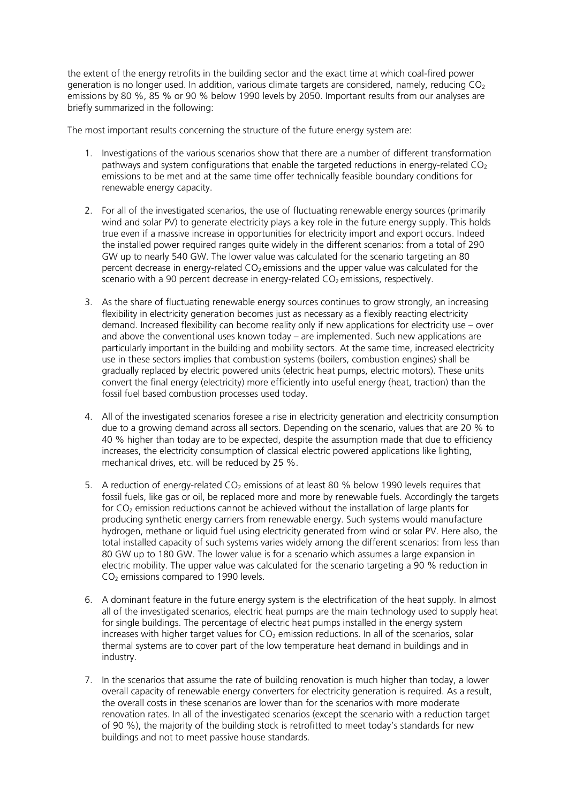the extent of the energy retrofits in the building sector and the exact time at which coal-fired power generation is no longer used. In addition, various climate targets are considered, namely, reducing CO<sub>2</sub> emissions by 80 %, 85 % or 90 % below 1990 levels by 2050. Important results from our analyses are briefly summarized in the following:

The most important results concerning the structure of the future energy system are:

- 1. Investigations of the various scenarios show that there are a number of different transformation pathways and system configurations that enable the targeted reductions in energy-related  $CO<sub>2</sub>$ emissions to be met and at the same time offer technically feasible boundary conditions for renewable energy capacity.
- 2. For all of the investigated scenarios, the use of fluctuating renewable energy sources (primarily wind and solar PV) to generate electricity plays a key role in the future energy supply. This holds true even if a massive increase in opportunities for electricity import and export occurs. Indeed the installed power required ranges quite widely in the different scenarios: from a total of 290 GW up to nearly 540 GW. The lower value was calculated for the scenario targeting an 80 percent decrease in energy-related  $CO<sub>2</sub>$  emissions and the upper value was calculated for the scenario with a 90 percent decrease in energy-related  $CO<sub>2</sub>$  emissions, respectively.
- 3. As the share of fluctuating renewable energy sources continues to grow strongly, an increasing flexibility in electricity generation becomes just as necessary as a flexibly reacting electricity demand. Increased flexibility can become reality only if new applications for electricity use – over and above the conventional uses known today – are implemented. Such new applications are particularly important in the building and mobility sectors. At the same time, increased electricity use in these sectors implies that combustion systems (boilers, combustion engines) shall be gradually replaced by electric powered units (electric heat pumps, electric motors). These units convert the final energy (electricity) more efficiently into useful energy (heat, traction) than the fossil fuel based combustion processes used today.
- 4. All of the investigated scenarios foresee a rise in electricity generation and electricity consumption due to a growing demand across all sectors. Depending on the scenario, values that are 20 % to 40 % higher than today are to be expected, despite the assumption made that due to efficiency increases, the electricity consumption of classical electric powered applications like lighting, mechanical drives, etc. will be reduced by 25 %.
- 5. A reduction of energy-related CO<sub>2</sub> emissions of at least 80 % below 1990 levels requires that fossil fuels, like gas or oil, be replaced more and more by renewable fuels. Accordingly the targets for CO<sub>2</sub> emission reductions cannot be achieved without the installation of large plants for producing synthetic energy carriers from renewable energy. Such systems would manufacture hydrogen, methane or liquid fuel using electricity generated from wind or solar PV. Here also, the total installed capacity of such systems varies widely among the different scenarios: from less than 80 GW up to 180 GW. The lower value is for a scenario which assumes a large expansion in electric mobility. The upper value was calculated for the scenario targeting a 90 % reduction in CO<sup>2</sup> emissions compared to 1990 levels.
- 6. A dominant feature in the future energy system is the electrification of the heat supply. In almost all of the investigated scenarios, electric heat pumps are the main technology used to supply heat for single buildings. The percentage of electric heat pumps installed in the energy system increases with higher target values for  $CO<sub>2</sub>$  emission reductions. In all of the scenarios, solar thermal systems are to cover part of the low temperature heat demand in buildings and in industry.
- 7. In the scenarios that assume the rate of building renovation is much higher than today, a lower overall capacity of renewable energy converters for electricity generation is required. As a result, the overall costs in these scenarios are lower than for the scenarios with more moderate renovation rates. In all of the investigated scenarios (except the scenario with a reduction target of 90 %), the majority of the building stock is retrofitted to meet today's standards for new buildings and not to meet passive house standards.